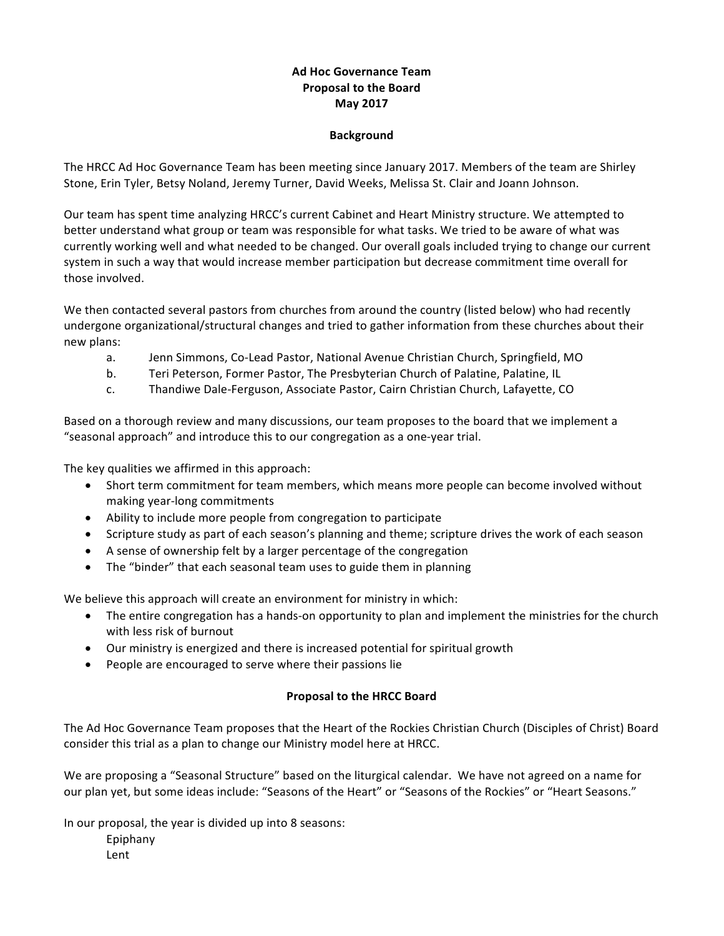## **Ad Hoc Governance Team Proposal to the Board May 2017**

## **Background**

The HRCC Ad Hoc Governance Team has been meeting since January 2017. Members of the team are Shirley Stone, Erin Tyler, Betsy Noland, Jeremy Turner, David Weeks, Melissa St. Clair and Joann Johnson.

Our team has spent time analyzing HRCC's current Cabinet and Heart Ministry structure. We attempted to better understand what group or team was responsible for what tasks. We tried to be aware of what was currently working well and what needed to be changed. Our overall goals included trying to change our current system in such a way that would increase member participation but decrease commitment time overall for those involved.

We then contacted several pastors from churches from around the country (listed below) who had recently undergone organizational/structural changes and tried to gather information from these churches about their new plans:

- a. Jenn Simmons, Co-Lead Pastor, National Avenue Christian Church, Springfield, MO
- b. Teri Peterson, Former Pastor, The Presbyterian Church of Palatine, Palatine, IL
- c. Thandiwe Dale-Ferguson, Associate Pastor, Cairn Christian Church, Lafayette, CO

Based on a thorough review and many discussions, our team proposes to the board that we implement a "seasonal approach" and introduce this to our congregation as a one-year trial.

The key qualities we affirmed in this approach:

- Short term commitment for team members, which means more people can become involved without making year-long commitments
- Ability to include more people from congregation to participate
- Scripture study as part of each season's planning and theme; scripture drives the work of each season
- A sense of ownership felt by a larger percentage of the congregation
- The "binder" that each seasonal team uses to guide them in planning

We believe this approach will create an environment for ministry in which:

- The entire congregation has a hands-on opportunity to plan and implement the ministries for the church with less risk of burnout
- Our ministry is energized and there is increased potential for spiritual growth
- People are encouraged to serve where their passions lie

## **Proposal to the HRCC Board**

The Ad Hoc Governance Team proposes that the Heart of the Rockies Christian Church (Disciples of Christ) Board consider this trial as a plan to change our Ministry model here at HRCC.

We are proposing a "Seasonal Structure" based on the liturgical calendar. We have not agreed on a name for our plan yet, but some ideas include: "Seasons of the Heart" or "Seasons of the Rockies" or "Heart Seasons."

In our proposal, the year is divided up into 8 seasons: Epiphany Lent